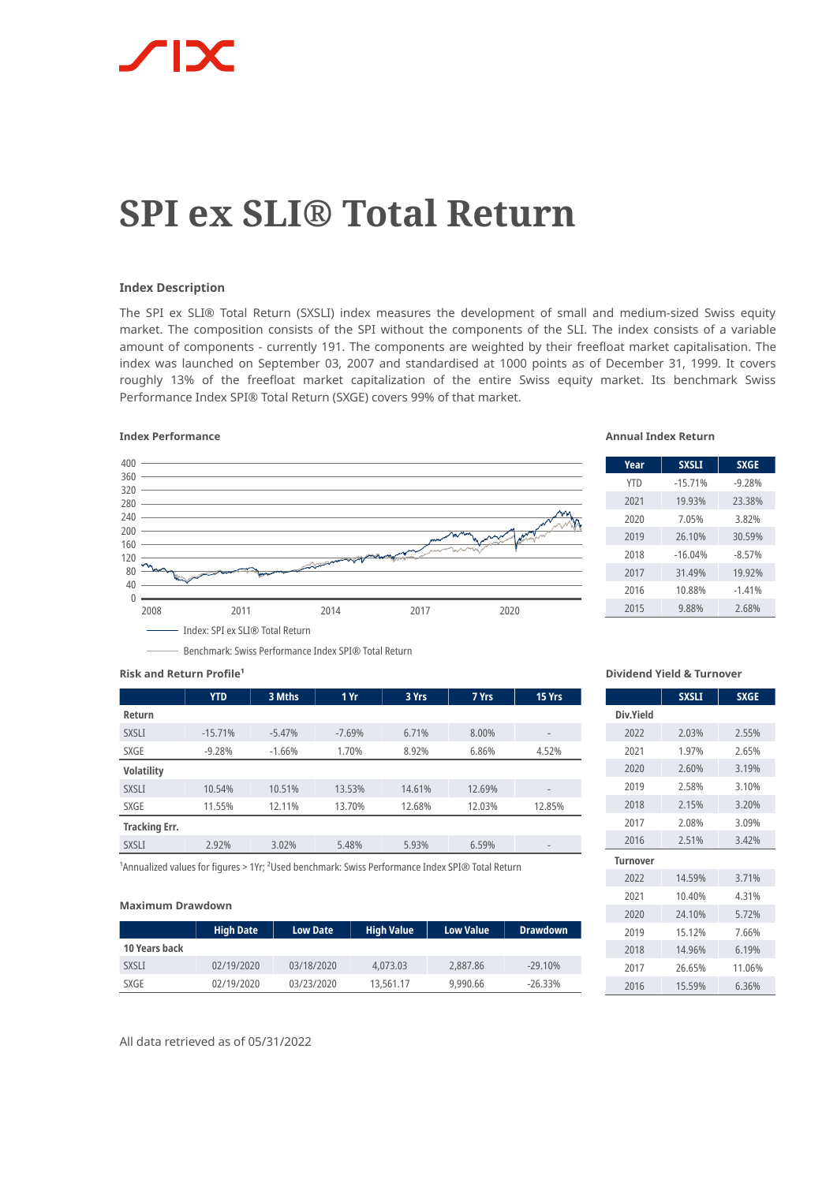# **SPI ex SLI® Total Return**

# **Index Description**

The SPI ex SLI® Total Return (SXSLI) index measures the development of small and medium-sized Swiss equity market. The composition consists of the SPI without the components of the SLI. The index consists of a variable amount of components - currently 191. The components are weighted by their freefloat market capitalisation. The index was launched on September 03, 2007 and standardised at 1000 points as of December 31, 1999. It covers roughly 13% of the freefloat market capitalization of the entire Swiss equity market. Its benchmark Swiss Performance Index SPI® Total Return (SXGE) covers 99% of that market.

## **Index Performance Annual Index Return**



| Year       | <b>SXSLI</b> | <b>SXGE</b> |
|------------|--------------|-------------|
| <b>YTD</b> | $-15.71%$    | $-9.28%$    |
| 2021       | 19.93%       | 23.38%      |
| 2020       | 7.05%        | 3.82%       |
| 2019       | 26.10%       | 30.59%      |
| 2018       | $-16.04%$    | $-8.57%$    |
| 2017       | 31.49%       | 19.92%      |
| 2016       | 10.88%       | $-1.41%$    |
| 2015       | 9.88%        | 2.68%       |

#### **Risk and Return Profile<sup>1</sup>**

|                      | <b>YTD</b> | 3 Mths   | 1Yr      | 3 Yrs  | 7 Yrs  | 15 Yrs                       |
|----------------------|------------|----------|----------|--------|--------|------------------------------|
| Return               |            |          |          |        |        |                              |
| <b>SXSLI</b>         | $-15.71%$  | $-5.47%$ | $-7.69%$ | 6.71%  | 8.00%  | $\qquad \qquad -$            |
| SXGE                 | $-9.28%$   | $-1.66%$ | 1.70%    | 8.92%  | 6.86%  | 4.52%                        |
| <b>Volatility</b>    |            |          |          |        |        |                              |
| <b>SXSLI</b>         | 10.54%     | 10.51%   | 13.53%   | 14.61% | 12.69% | $\qquad \qquad \blacksquare$ |
| SXGE                 | 11.55%     | 12.11%   | 13.70%   | 12.68% | 12.03% | 12.85%                       |
| <b>Tracking Err.</b> |            |          |          |        |        |                              |
| <b>SXSLI</b>         | 2.92%      | 3.02%    | 5.48%    | 5.93%  | 6.59%  | $\qquad \qquad$              |

<sup>1</sup> Annualized values for figures > 1Yr; <sup>2</sup> Used benchmark: Swiss Performance Index SPI® Total Return

Benchmark: Swiss Performance Index SPI® Total Return

#### **Maximum Drawdown**

|               | <b>High Date</b> | <b>Low Date</b> | <b>High Value</b> | <b>Low Value</b> | <b>Drawdown</b> |
|---------------|------------------|-----------------|-------------------|------------------|-----------------|
| 10 Years back |                  |                 |                   |                  |                 |
| <b>SXSLI</b>  | 02/19/2020       | 03/18/2020      | 4,073.03          | 2,887.86         | $-29.10%$       |
| SXGE          | 02/19/2020       | 03/23/2020      | 13,561.17         | 9,990.66         | $-26.33\%$      |

**Dividend Yield & Turnover**

|                 | <b>SXSLI</b> | <b>SXGE</b> |
|-----------------|--------------|-------------|
| Div.Yield       |              |             |
| 2022            | 2.03%        | 2.55%       |
| 2021            | 1.97%        | 2.65%       |
| 2020            | 2.60%        | 3.19%       |
| 2019            | 2.58%        | 3.10%       |
| 2018            | 2.15%        | 3.20%       |
| 2017            | 2.08%        | 3.09%       |
| 2016            | 2.51%        | 3.42%       |
| <b>Turnover</b> |              |             |
| 2022            | 14.59%       | 3.71%       |
| 2021            | 10.40%       | 4.31%       |
| 2020            | 24.10%       | 5.72%       |
| 2019            | 15.12%       | 7.66%       |
| 2018            | 14.96%       | 6.19%       |
| 2017            | 26.65%       | 11.06%      |
| 2016            | 15.59%       | 6.36%       |

All data retrieved as of 05/31/2022